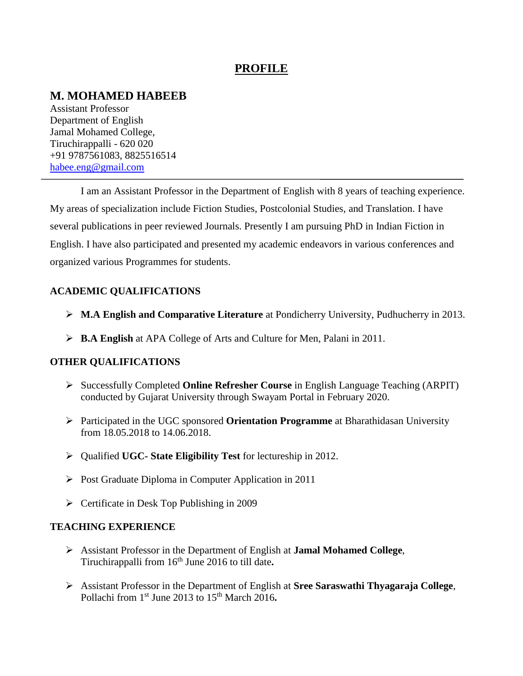## **PROFILE**

# **M. MOHAMED HABEEB**

Assistant Professor Department of English Jamal Mohamed College, Tiruchirappalli - 620 020 +91 9787561083, 8825516514 [habee.eng@gmail.com](mailto:habee.eng@gmail.com)

I am an Assistant Professor in the Department of English with 8 years of teaching experience. My areas of specialization include Fiction Studies, Postcolonial Studies, and Translation. I have several publications in peer reviewed Journals. Presently I am pursuing PhD in Indian Fiction in English. I have also participated and presented my academic endeavors in various conferences and organized various Programmes for students.

#### **ACADEMIC QUALIFICATIONS**

- **M.A English and Comparative Literature** at Pondicherry University, Pudhucherry in 2013.
- **B.A English** at APA College of Arts and Culture for Men, Palani in 2011.

#### **OTHER QUALIFICATIONS**

- Successfully Completed **Online Refresher Course** in English Language Teaching (ARPIT) conducted by Gujarat University through Swayam Portal in February 2020.
- Participated in the UGC sponsored **Orientation Programme** at Bharathidasan University from 18.05.2018 to 14.06.2018.
- Qualified **UGC- State Eligibility Test** for lectureship in 2012.
- $\triangleright$  Post Graduate Diploma in Computer Application in 2011
- $\triangleright$  Certificate in Desk Top Publishing in 2009

#### **TEACHING EXPERIENCE**

- Assistant Professor in the Department of English at **Jamal Mohamed College**, Tiruchirappalli from 16th June 2016 to till date**.**
- Assistant Professor in the Department of English at **Sree Saraswathi Thyagaraja College**, Pollachi from 1<sup>st</sup> June 2013 to 15<sup>th</sup> March 2016.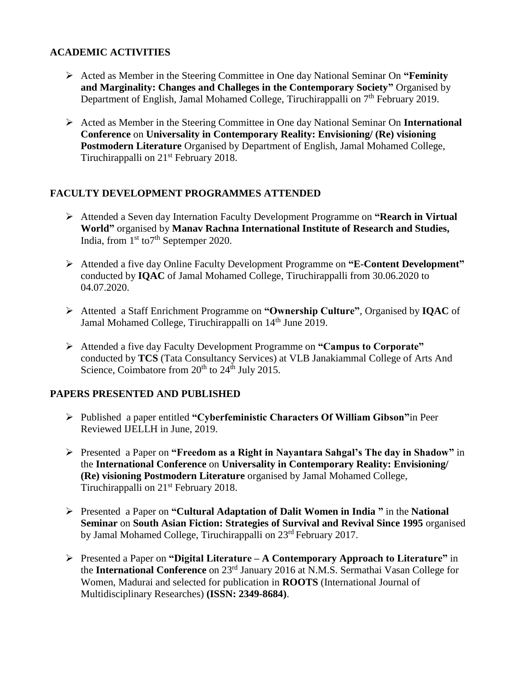#### **ACADEMIC ACTIVITIES**

- Acted as Member in the Steering Committee in One day National Seminar On **"Feminity and Marginality: Changes and Challeges in the Contemporary Society"** Organised by Department of English, Jamal Mohamed College, Tiruchirappalli on 7<sup>th</sup> February 2019.
- Acted as Member in the Steering Committee in One day National Seminar On **International Conference** on **Universality in Contemporary Reality: Envisioning/ (Re) visioning Postmodern Literature** Organised by Department of English, Jamal Mohamed College, Tiruchirappalli on 21<sup>st</sup> February 2018.

#### **FACULTY DEVELOPMENT PROGRAMMES ATTENDED**

- Attended a Seven day Internation Faculty Development Programme on **"Rearch in Virtual World"** organised by **Manav Rachna International Institute of Research and Studies,**  India, from  $1<sup>st</sup>$  to  $7<sup>th</sup>$  Septemper 2020.
- Attended a five day Online Faculty Development Programme on **"E-Content Development"** conducted by **IQAC** of Jamal Mohamed College, Tiruchirappalli from 30.06.2020 to 04.07.2020.
- Attented a Staff Enrichment Programme on **"Ownership Culture"**, Organised by **IQAC** of Jamal Mohamed College, Tiruchirappalli on 14<sup>th</sup> June 2019.
- Attended a five day Faculty Development Programme on **"Campus to Corporate"** conducted by **TCS** (Tata Consultancy Services) at VLB Janakiammal College of Arts And Science, Coimbatore from  $20<sup>th</sup>$  to  $24<sup>th</sup>$  July 2015.

#### **PAPERS PRESENTED AND PUBLISHED**

- Published a paper entitled **"Cyberfeministic Characters Of William Gibson"**in Peer Reviewed IJELLH in June, 2019.
- Presented a Paper on **"Freedom as a Right in Nayantara Sahgal's The day in Shadow"** in the **International Conference** on **Universality in Contemporary Reality: Envisioning/ (Re) visioning Postmodern Literature** organised by Jamal Mohamed College, Tiruchirappalli on 21<sup>st</sup> February 2018.
- Presented a Paper on **"Cultural Adaptation of Dalit Women in India "** in the **National Seminar** on **South Asian Fiction: Strategies of Survival and Revival Since 1995** organised by Jamal Mohamed College, Tiruchirappalli on 23<sup>rd</sup> February 2017.
- Presented a Paper on **"Digital Literature – A Contemporary Approach to Literature"** in the **International Conference** on 23rd January 2016 at N.M.S. Sermathai Vasan College for Women, Madurai and selected for publication in **ROOTS** (International Journal of Multidisciplinary Researches) **(ISSN: 2349-8684)**.